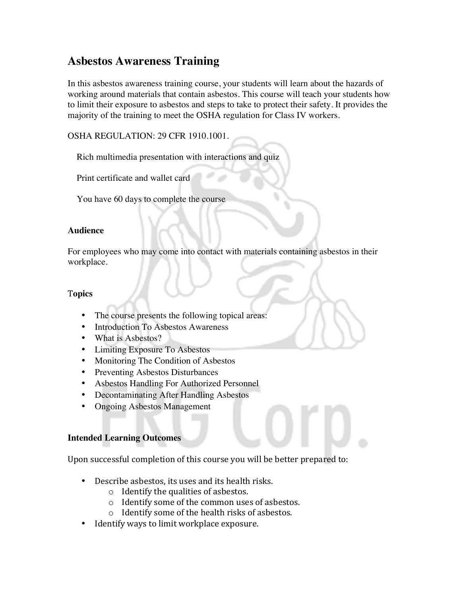# **Asbestos Awareness Training**

In this asbestos awareness training course, your students will learn about the hazards of working around materials that contain asbestos. This course will teach your students how to limit their exposure to asbestos and steps to take to protect their safety. It provides the majority of the training to meet the OSHA regulation for Class IV workers.

OSHA REGULATION: 29 CFR 1910.1001.

Rich multimedia presentation with interactions and quiz

Print certificate and wallet card

You have 60 days to complete the course

## **Audience**

For employees who may come into contact with materials containing asbestos in their workplace.

### T**opics**

- The course presents the following topical areas:
- Introduction To Asbestos Awareness
- What is Asbestos?
- Limiting Exposure To Asbestos
- Monitoring The Condition of Asbestos
- Preventing Asbestos Disturbances
- Asbestos Handling For Authorized Personnel
- Decontaminating After Handling Asbestos
- Ongoing Asbestos Management

#### **Intended Learning Outcomes**

Upon successful completion of this course you will be better prepared to:

- Describe asbestos, its uses and its health risks.
	- $\circ$  Identify the qualities of asbestos.
	- $\circ$  Identify some of the common uses of asbestos.
	- $\circ$  Identify some of the health risks of asbestos.
- Identify ways to limit workplace exposure.